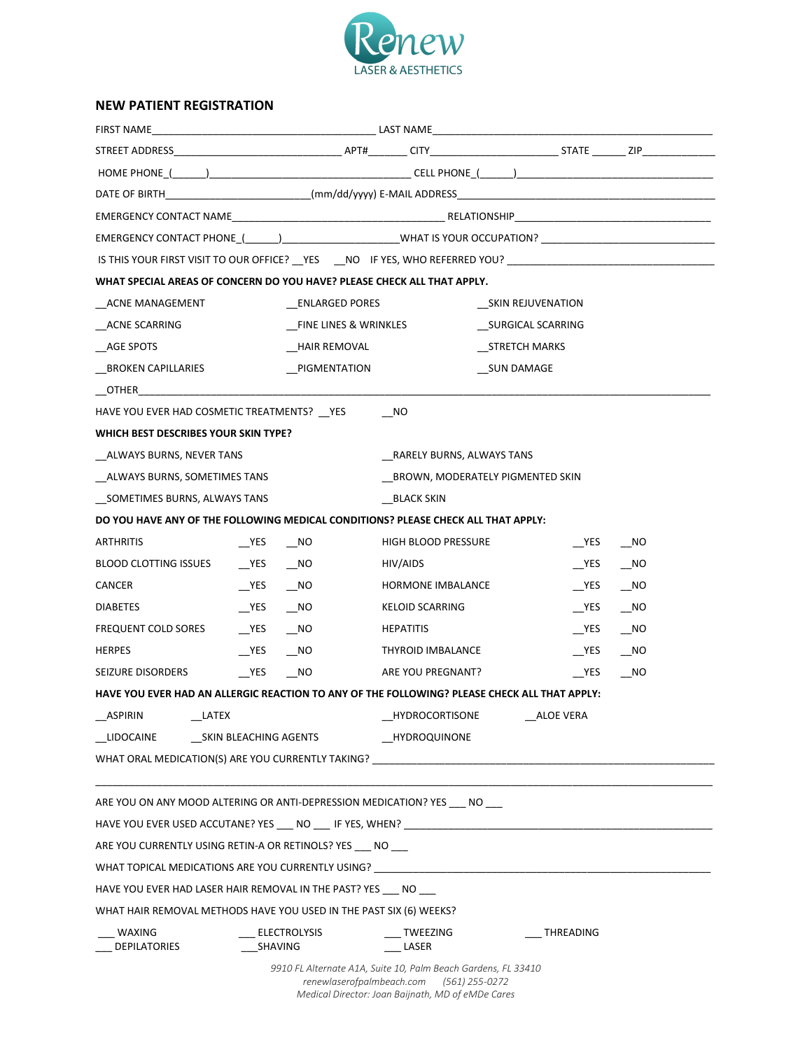

## **NEW PATIENT REGISTRATION**

| IS THIS YOUR FIRST VISIT TO OUR OFFICE? __YES ___NO IF YES, WHO REFERRED YOU? ________________________________<br>WHAT SPECIAL AREAS OF CONCERN DO YOU HAVE? PLEASE CHECK ALL THAT APPLY.<br>ACNE MANAGEMENT<br>_ACNE SCARRING<br>AGE SPOTS<br>BROKEN CAPILLARIES<br><b>OTHER CONSTRUCTER</b><br>HAVE YOU EVER HAD COSMETIC TREATMENTS? __ YES<br>WHICH BEST DESCRIBES YOUR SKIN TYPE?<br>ALWAYS BURNS, NEVER TANS<br>ALWAYS BURNS, SOMETIMES TANS<br>SOMETIMES BURNS, ALWAYS TANS<br>DO YOU HAVE ANY OF THE FOLLOWING MEDICAL CONDITIONS? PLEASE CHECK ALL THAT APPLY:<br><b>ARTHRITIS</b><br><b>YES</b><br>$N$ O<br>BLOOD CLOTTING ISSUES<br>$YES$ NO<br><b>CANCER</b> | <b>ENLARGED PORES</b><br>FINE LINES & WRINKLES<br>HAIR REMOVAL<br>PIGMENTATION | NO<br>RARELY BURNS, ALWAYS TANS<br>BLACK SKIN | SKIN REJUVENATION<br>SURGICAL SCARRING<br>STRETCH MARKS<br>SUN DAMAGE |          |                             |
|--------------------------------------------------------------------------------------------------------------------------------------------------------------------------------------------------------------------------------------------------------------------------------------------------------------------------------------------------------------------------------------------------------------------------------------------------------------------------------------------------------------------------------------------------------------------------------------------------------------------------------------------------------------------------|--------------------------------------------------------------------------------|-----------------------------------------------|-----------------------------------------------------------------------|----------|-----------------------------|
|                                                                                                                                                                                                                                                                                                                                                                                                                                                                                                                                                                                                                                                                          |                                                                                |                                               |                                                                       |          |                             |
|                                                                                                                                                                                                                                                                                                                                                                                                                                                                                                                                                                                                                                                                          |                                                                                |                                               |                                                                       |          |                             |
|                                                                                                                                                                                                                                                                                                                                                                                                                                                                                                                                                                                                                                                                          |                                                                                |                                               |                                                                       |          |                             |
|                                                                                                                                                                                                                                                                                                                                                                                                                                                                                                                                                                                                                                                                          |                                                                                |                                               |                                                                       |          |                             |
|                                                                                                                                                                                                                                                                                                                                                                                                                                                                                                                                                                                                                                                                          |                                                                                |                                               |                                                                       |          |                             |
|                                                                                                                                                                                                                                                                                                                                                                                                                                                                                                                                                                                                                                                                          |                                                                                |                                               |                                                                       |          |                             |
|                                                                                                                                                                                                                                                                                                                                                                                                                                                                                                                                                                                                                                                                          |                                                                                |                                               |                                                                       |          |                             |
|                                                                                                                                                                                                                                                                                                                                                                                                                                                                                                                                                                                                                                                                          |                                                                                |                                               |                                                                       |          |                             |
|                                                                                                                                                                                                                                                                                                                                                                                                                                                                                                                                                                                                                                                                          |                                                                                |                                               |                                                                       |          |                             |
|                                                                                                                                                                                                                                                                                                                                                                                                                                                                                                                                                                                                                                                                          |                                                                                |                                               |                                                                       |          |                             |
|                                                                                                                                                                                                                                                                                                                                                                                                                                                                                                                                                                                                                                                                          |                                                                                |                                               |                                                                       |          |                             |
|                                                                                                                                                                                                                                                                                                                                                                                                                                                                                                                                                                                                                                                                          |                                                                                |                                               |                                                                       |          |                             |
|                                                                                                                                                                                                                                                                                                                                                                                                                                                                                                                                                                                                                                                                          |                                                                                |                                               |                                                                       |          |                             |
|                                                                                                                                                                                                                                                                                                                                                                                                                                                                                                                                                                                                                                                                          |                                                                                |                                               |                                                                       |          |                             |
|                                                                                                                                                                                                                                                                                                                                                                                                                                                                                                                                                                                                                                                                          |                                                                                |                                               |                                                                       |          |                             |
|                                                                                                                                                                                                                                                                                                                                                                                                                                                                                                                                                                                                                                                                          |                                                                                |                                               | _BROWN, MODERATELY PIGMENTED SKIN                                     |          |                             |
|                                                                                                                                                                                                                                                                                                                                                                                                                                                                                                                                                                                                                                                                          |                                                                                |                                               |                                                                       |          |                             |
|                                                                                                                                                                                                                                                                                                                                                                                                                                                                                                                                                                                                                                                                          |                                                                                |                                               |                                                                       |          |                             |
|                                                                                                                                                                                                                                                                                                                                                                                                                                                                                                                                                                                                                                                                          |                                                                                | <b>HIGH BLOOD PRESSURE</b>                    |                                                                       | YES      | $\overline{\phantom{1}}$ NO |
|                                                                                                                                                                                                                                                                                                                                                                                                                                                                                                                                                                                                                                                                          |                                                                                | HIV/AIDS                                      |                                                                       | $YES$ NO |                             |
|                                                                                                                                                                                                                                                                                                                                                                                                                                                                                                                                                                                                                                                                          |                                                                                | HORMONE IMBALANCE                             |                                                                       | $YES$ NO |                             |
| $YES$ NO<br><b>DIABETES</b>                                                                                                                                                                                                                                                                                                                                                                                                                                                                                                                                                                                                                                              |                                                                                | <b>KELOID SCARRING</b>                        |                                                                       | $YES$ NO |                             |
| YES NO<br>FREQUENT COLD SORES                                                                                                                                                                                                                                                                                                                                                                                                                                                                                                                                                                                                                                            |                                                                                | <b>HEPATITIS</b>                              |                                                                       |          |                             |
| YES<br>$N$ O<br><b>HERPES</b>                                                                                                                                                                                                                                                                                                                                                                                                                                                                                                                                                                                                                                            |                                                                                | THYROID IMBALANCE                             |                                                                       | $YES$ NO |                             |
| <b>YES</b><br>NO <sub>1</sub><br>SEIZURE DISORDERS                                                                                                                                                                                                                                                                                                                                                                                                                                                                                                                                                                                                                       |                                                                                | ARE YOU PREGNANT?                             |                                                                       | YES      | NO                          |
| HAVE YOU EVER HAD AN ALLERGIC REACTION TO ANY OF THE FOLLOWING? PLEASE CHECK ALL THAT APPLY:                                                                                                                                                                                                                                                                                                                                                                                                                                                                                                                                                                             |                                                                                |                                               |                                                                       |          |                             |
| ASPIRIN<br>LATEX                                                                                                                                                                                                                                                                                                                                                                                                                                                                                                                                                                                                                                                         |                                                                                | HYDROCORTISONE ALOE VERA                      |                                                                       |          |                             |
| LIDOCAINE<br>SKIN BLEACHING AGENTS                                                                                                                                                                                                                                                                                                                                                                                                                                                                                                                                                                                                                                       |                                                                                | <b>HYDROQUINONE</b>                           |                                                                       |          |                             |
| WHAT ORAL MEDICATION(S) ARE YOU CURRENTLY TAKING?                                                                                                                                                                                                                                                                                                                                                                                                                                                                                                                                                                                                                        |                                                                                |                                               |                                                                       |          |                             |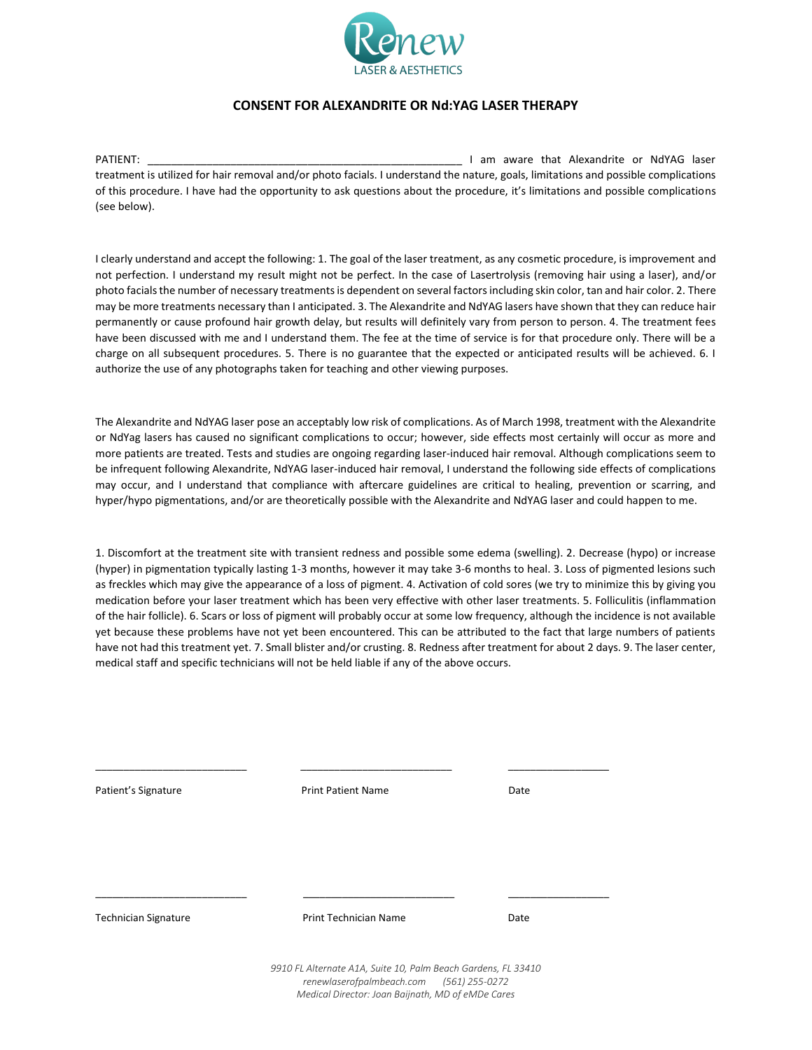

## **CONSENT FOR ALEXANDRITE OR Nd:YAG LASER THERAPY**

PATIENT: \_\_\_\_\_\_\_\_\_\_\_\_\_\_\_\_\_\_\_\_\_\_\_\_\_\_\_\_\_\_\_\_\_\_\_\_\_\_\_\_\_\_\_\_\_\_\_\_\_\_\_\_\_ I am aware that Alexandrite or NdYAG laser treatment is utilized for hair removal and/or photo facials. I understand the nature, goals, limitations and possible complications of this procedure. I have had the opportunity to ask questions about the procedure, it's limitations and possible complications (see below).

I clearly understand and accept the following: 1. The goal of the laser treatment, as any cosmetic procedure, is improvement and not perfection. I understand my result might not be perfect. In the case of Lasertrolysis (removing hair using a laser), and/or photo facials the number of necessary treatments is dependent on several factors including skin color, tan and hair color. 2. There may be more treatments necessary than I anticipated. 3. The Alexandrite and NdYAG lasers have shown that they can reduce hair permanently or cause profound hair growth delay, but results will definitely vary from person to person. 4. The treatment fees have been discussed with me and I understand them. The fee at the time of service is for that procedure only. There will be a charge on all subsequent procedures. 5. There is no guarantee that the expected or anticipated results will be achieved. 6. I authorize the use of any photographs taken for teaching and other viewing purposes.

The Alexandrite and NdYAG laser pose an acceptably low risk of complications. As of March 1998, treatment with the Alexandrite or NdYag lasers has caused no significant complications to occur; however, side effects most certainly will occur as more and more patients are treated. Tests and studies are ongoing regarding laser-induced hair removal. Although complications seem to be infrequent following Alexandrite, NdYAG laser-induced hair removal, I understand the following side effects of complications may occur, and I understand that compliance with aftercare guidelines are critical to healing, prevention or scarring, and hyper/hypo pigmentations, and/or are theoretically possible with the Alexandrite and NdYAG laser and could happen to me.

1. Discomfort at the treatment site with transient redness and possible some edema (swelling). 2. Decrease (hypo) or increase (hyper) in pigmentation typically lasting 1-3 months, however it may take 3-6 months to heal. 3. Loss of pigmented lesions such as freckles which may give the appearance of a loss of pigment. 4. Activation of cold sores (we try to minimize this by giving you medication before your laser treatment which has been very effective with other laser treatments. 5. Folliculitis (inflammation of the hair follicle). 6. Scars or loss of pigment will probably occur at some low frequency, although the incidence is not available yet because these problems have not yet been encountered. This can be attributed to the fact that large numbers of patients have not had this treatment yet. 7. Small blister and/or crusting. 8. Redness after treatment for about 2 days. 9. The laser center, medical staff and specific technicians will not be held liable if any of the above occurs.

| Patient's Signature  | <b>Print Patient Name</b>                                     | Date             |
|----------------------|---------------------------------------------------------------|------------------|
|                      |                                                               |                  |
|                      |                                                               |                  |
|                      |                                                               |                  |
| Technician Signature | <b>Print Technician Name</b>                                  | Date             |
|                      | 9910 FL Alternate A1A, Suite 10, Palm Beach Gardens, FL 33410 |                  |
|                      | renewlaserofpalmbeach.com                                     | $(561)$ 255-0272 |

*Medical Director: Joan Baijnath, MD of eMDe Cares*